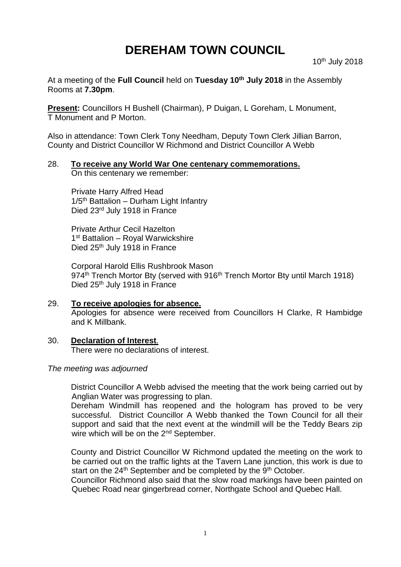# **DEREHAM TOWN COUNCIL**

10th July 2018

At a meeting of the **Full Council** held on **Tuesday 10th July 2018** in the Assembly Rooms at **7.30pm**.

**Present:** Councillors H Bushell (Chairman), P Duigan, L Goreham, L Monument, T Monument and P Morton.

Also in attendance: Town Clerk Tony Needham, Deputy Town Clerk Jillian Barron, County and District Councillor W Richmond and District Councillor A Webb

# 28. **To receive any World War One centenary commemorations.**

On this centenary we remember:

Private Harry Alfred Head  $1/5$ <sup>th</sup> Battalion – Durham Light Infantry Died 23rd July 1918 in France

Private Arthur Cecil Hazelton 1<sup>st</sup> Battalion - Royal Warwickshire Died 25<sup>th</sup> July 1918 in France

Corporal Harold Ellis Rushbrook Mason 974<sup>th</sup> Trench Mortor Bty (served with 916<sup>th</sup> Trench Mortor Bty until March 1918) Died 25<sup>th</sup> July 1918 in France

- 29. **To receive apologies for absence.** Apologies for absence were received from Councillors H Clarke, R Hambidge and K Millbank.
- 30. **Declaration of Interest**. There were no declarations of interest.

### *The meeting was adjourned*

District Councillor A Webb advised the meeting that the work being carried out by Anglian Water was progressing to plan.

Dereham Windmill has reopened and the hologram has proved to be very successful. District Councillor A Webb thanked the Town Council for all their support and said that the next event at the windmill will be the Teddy Bears zip wire which will be on the 2<sup>nd</sup> September.

County and District Councillor W Richmond updated the meeting on the work to be carried out on the traffic lights at the Tavern Lane junction, this work is due to start on the  $24<sup>th</sup>$  September and be completed by the  $9<sup>th</sup>$  October.

Councillor Richmond also said that the slow road markings have been painted on Quebec Road near gingerbread corner, Northgate School and Quebec Hall.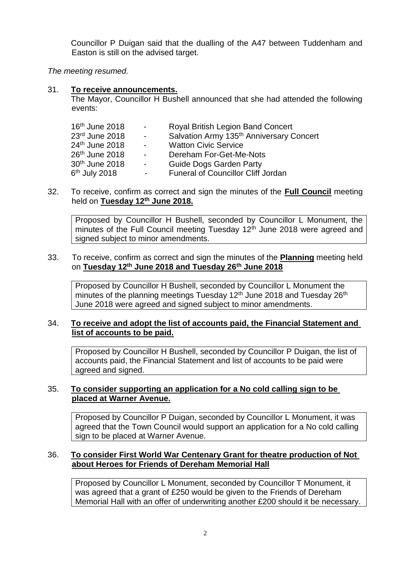Councillor P Duigan said that the dualling of the A47 between Tuddenham and Easton is still on the advised target.

*The meeting resumed.*

## 31. **To receive announcements.**

The Mayor, Councillor H Bushell announced that she had attended the following events:

| 16 <sup>th</sup> June 2018 | $\sim$ $-$ | Royal British Legion Band Concert                    |
|----------------------------|------------|------------------------------------------------------|
| 23rd June 2018             | $\sim$     | Salvation Army 135 <sup>th</sup> Anniversary Concert |
| 24 <sup>th</sup> June 2018 | $\sim$     | <b>Watton Civic Service</b>                          |
| 26 <sup>th</sup> June 2018 | $\sim$     | Dereham For-Get-Me-Nots                              |
| 30 <sup>th</sup> June 2018 | $\sim$     | <b>Guide Dogs Garden Party</b>                       |
| 6 <sup>th</sup> July 2018  | $\sim$     | <b>Funeral of Councillor Cliff Jordan</b>            |
|                            |            |                                                      |

32. To receive, confirm as correct and sign the minutes of the **Full Council** meeting held on **Tuesday 12th June 2018.**

Proposed by Councillor H Bushell, seconded by Councillor L Monument, the minutes of the Full Council meeting Tuesday 12<sup>th</sup> June 2018 were agreed and signed subject to minor amendments.

#### 33. To receive, confirm as correct and sign the minutes of the **Planning** meeting held on **Tuesday 12th June 2018 and Tuesday 26th June 2018**

Proposed by Councillor H Bushell, seconded by Councillor L Monument the minutes of the planning meetings Tuesday 12<sup>th</sup> June 2018 and Tuesday 26<sup>th</sup> June 2018 were agreed and signed subject to minor amendments.

## 34. **To receive and adopt the list of accounts paid, the Financial Statement and list of accounts to be paid.**

Proposed by Councillor H Bushell, seconded by Councillor P Duigan, the list of accounts paid, the Financial Statement and list of accounts to be paid were agreed and signed.

## 35. **To consider supporting an application for a No cold calling sign to be placed at Warner Avenue.**

Proposed by Councillor P Duigan, seconded by Councillor L Monument, it was agreed that the Town Council would support an application for a No cold calling sign to be placed at Warner Avenue.

# 36. **To consider First World War Centenary Grant for theatre production of Not about Heroes for Friends of Dereham Memorial Hall**

Proposed by Councillor L Monument, seconded by Councillor T Monument, it was agreed that a grant of £250 would be given to the Friends of Dereham Memorial Hall with an offer of underwriting another £200 should it be necessary.